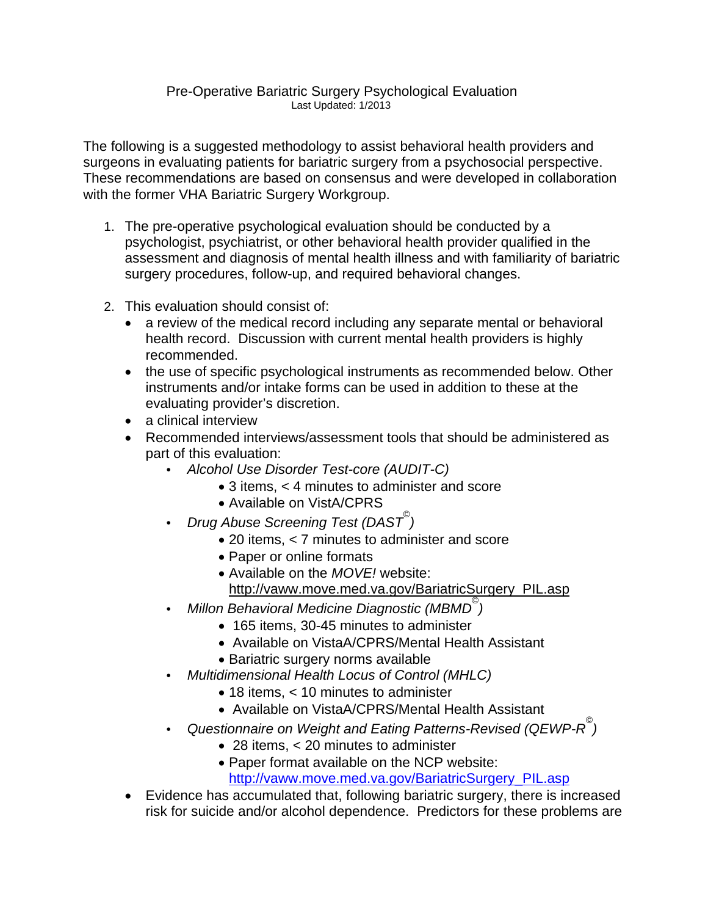## Pre-Operative Bariatric Surgery Psychological Evaluation Last Updated: 1/2013

The following is a suggested methodology to assist behavioral health providers and surgeons in evaluating patients for bariatric surgery from a psychosocial perspective. These recommendations are based on consensus and were developed in collaboration with the former VHA Bariatric Surgery Workgroup.

- 1. The pre-operative psychological evaluation should be conducted by a psychologist, psychiatrist, or other behavioral health provider qualified in the assessment and diagnosis of mental health illness and with familiarity of bariatric surgery procedures, follow-up, and required behavioral changes.
- 2. This evaluation should consist of:
	- a review of the medical record including any separate mental or behavioral health record. Discussion with current mental health providers is highly recommended.
	- the use of specific psychological instruments as recommended below. Other instruments and/or intake forms can be used in addition to these at the evaluating provider's discretion.
	- a clinical interview
	- Recommended interviews/assessment tools that should be administered as part of this evaluation:
		- *Alcohol Use Disorder Test-core (AUDIT-C)*
			- 3 items, < 4 minutes to administer and score
			- Available on VistA/CPRS
		- *Drug Abuse Screening Test (DAST© )* 
			- 20 items, < 7 minutes to administer and score
			- Paper or online formats
			- Available on the *MOVE!* website:
			- http://vaww.move.med.va.gov/BariatricSurgery\_PIL.asp
		- *Millon Behavioral Medicine Diagnostic (MBMD© )*
			- 165 items, 30-45 minutes to administer
			- Available on VistaA/CPRS/Mental Health Assistant
			- Bariatric surgery norms available
		- *Multidimensional Health Locus of Control (MHLC)*
			- 18 items, < 10 minutes to administer
			- Available on VistaA/CPRS/Mental Health Assistant
		- *Questionnaire on Weight and Eating Patterns-Revised (QEWP-R© )*
			- 28 items, < 20 minutes to administer
			- Paper format available on the NCP website:
				- [http://vaww.move.med.va.gov/BariatricSurgery\\_PIL.asp](http://vaww.move.med.va.gov/BariatricSurgery_PIL.asp)
	- Evidence has accumulated that, following bariatric surgery, there is increased risk for suicide and/or alcohol dependence. Predictors for these problems are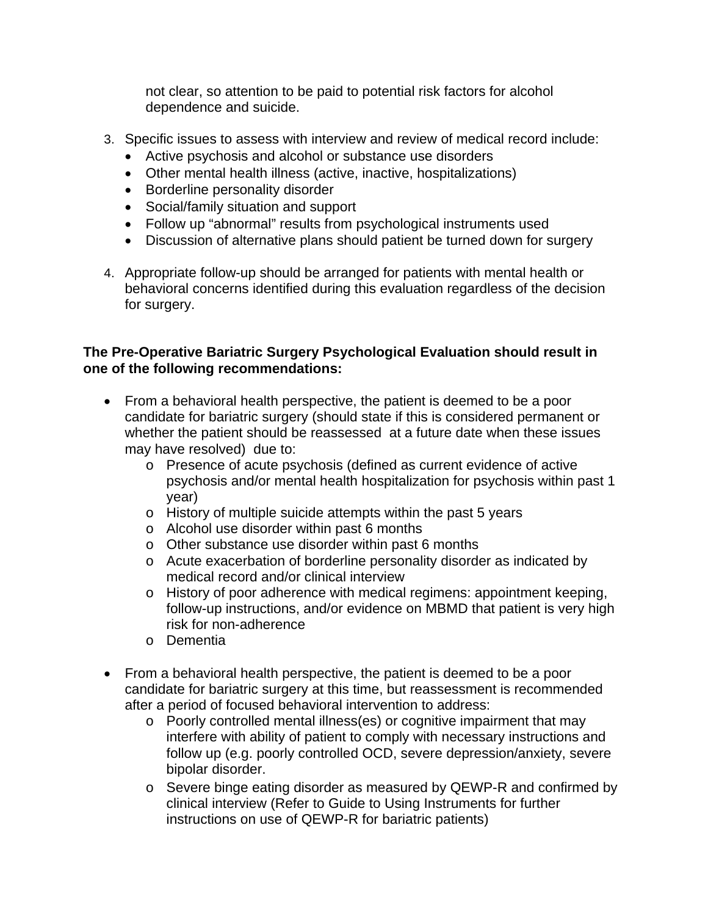not clear, so attention to be paid to potential risk factors for alcohol dependence and suicide.

- 3. Specific issues to assess with interview and review of medical record include:
	- Active psychosis and alcohol or substance use disorders
	- Other mental health illness (active, inactive, hospitalizations)
	- Borderline personality disorder
	- Social/family situation and support
	- Follow up "abnormal" results from psychological instruments used
	- Discussion of alternative plans should patient be turned down for surgery
- 4. Appropriate follow-up should be arranged for patients with mental health or behavioral concerns identified during this evaluation regardless of the decision for surgery.

## **The Pre-Operative Bariatric Surgery Psychological Evaluation should result in one of the following recommendations:**

- From a behavioral health perspective, the patient is deemed to be a poor candidate for bariatric surgery (should state if this is considered permanent or whether the patient should be reassessed at a future date when these issues may have resolved) due to:
	- o Presence of acute psychosis (defined as current evidence of active psychosis and/or mental health hospitalization for psychosis within past 1 year)
	- o History of multiple suicide attempts within the past 5 years
	- o Alcohol use disorder within past 6 months
	- o Other substance use disorder within past 6 months
	- o Acute exacerbation of borderline personality disorder as indicated by medical record and/or clinical interview
	- o History of poor adherence with medical regimens: appointment keeping, follow-up instructions, and/or evidence on MBMD that patient is very high risk for non-adherence
	- o Dementia
- From a behavioral health perspective, the patient is deemed to be a poor candidate for bariatric surgery at this time, but reassessment is recommended after a period of focused behavioral intervention to address:
	- o Poorly controlled mental illness(es) or cognitive impairment that may interfere with ability of patient to comply with necessary instructions and follow up (e.g. poorly controlled OCD, severe depression/anxiety, severe bipolar disorder.
	- o Severe binge eating disorder as measured by QEWP-R and confirmed by clinical interview (Refer to Guide to Using Instruments for further instructions on use of QEWP-R for bariatric patients)